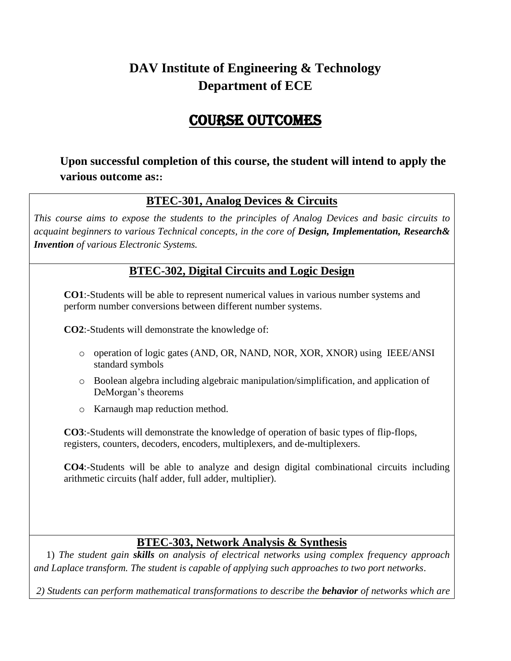# **DAV Institute of Engineering & Technology Department of ECE**

# Course Outcomes

**Upon successful completion of this course, the student will intend to apply the various outcome as::**

## **BTEC-301, Analog Devices & Circuits**

*This course aims to expose the students to the principles of Analog Devices and basic circuits to acquaint beginners to various Technical concepts, in the core of Design, Implementation, Research& Invention of various Electronic Systems.*

### **BTEC-302, Digital Circuits and Logic Design**

**CO1**:-Students will be able to represent numerical values in various number systems and perform number conversions between different number systems.

**CO2**:-Students will demonstrate the knowledge of:

- o operation of logic gates (AND, OR, NAND, NOR, XOR, XNOR) using IEEE/ANSI standard symbols
- o Boolean algebra including algebraic manipulation/simplification, and application of DeMorgan's theorems
- o Karnaugh map reduction method.

**CO3**:-Students will demonstrate the knowledge of operation of basic types of flip-flops, registers, counters, decoders, encoders, multiplexers, and de-multiplexers.

**CO4**:-Students will be able to analyze and design digital combinational circuits including arithmetic circuits (half adder, full adder, multiplier).

### **BTEC-303, Network Analysis & Synthesis**

 1) *The student gain skills on analysis of electrical networks using complex frequency approach and Laplace transform. The student is capable of applying such approaches to two port networks*.

*2) Students can perform mathematical transformations to describe the behavior of networks which are*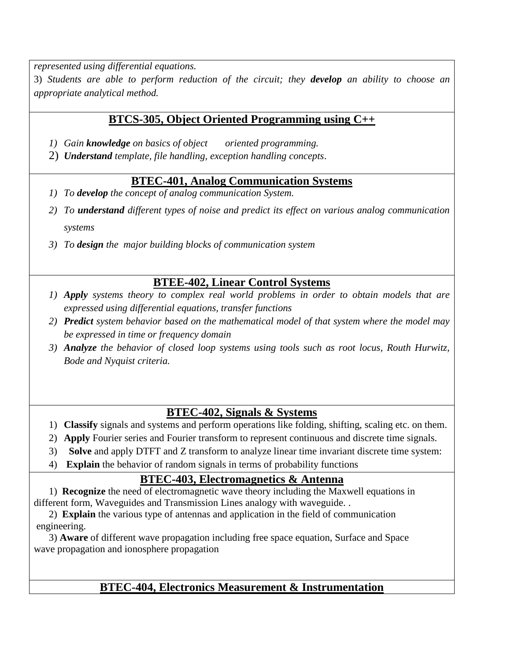*represented using differential equations.*

3) *Students are able to perform reduction of the circuit; they develop an ability to choose an appropriate analytical method.*

### **BTCS-305, Object Oriented Programming using C++**

- *1) Gain knowledge on basics of object oriented programming.*
- 2) *Understand template, file handling, exception handling concepts*.

## **BTEC-401, Analog Communication Systems**

- *1) To develop the concept of analog communication System.*
- *2) To understand different types of noise and predict its effect on various analog communication systems*
- *3) To design the major building blocks of communication system*

## **BTEE-402, Linear Control Systems**

- *1) Apply systems theory to complex real world problems in order to obtain models that are expressed using differential equations, transfer functions*
- *2) Predict system behavior based on the mathematical model of that system where the model may be expressed in time or frequency domain*
- *3) Analyze the behavior of closed loop systems using tools such as root locus, Routh Hurwitz, Bode and Nyquist criteria.*

## **BTEC-402, Signals & Systems**

- 1) **Classify** signals and systems and perform operations like folding, shifting, scaling etc. on them.
- 2) **Apply** Fourier series and Fourier transform to represent continuous and discrete time signals.
- 3) **Solve** and apply DTFT and Z transform to analyze linear time invariant discrete time system:
- 4) **Explain** the behavior of random signals in terms of probability functions

### **BTEC-403, Electromagnetics & Antenna**

 1) **Recognize** the need of electromagnetic wave theory including the Maxwell equations in different form, Waveguides and Transmission Lines analogy with waveguide. .

 2) **Explain** the various type of antennas and application in the field of communication engineering.

 3) **Aware** of different wave propagation including free space equation, Surface and Space wave propagation and ionosphere propagation

## **BTEC-404, Electronics Measurement & Instrumentation**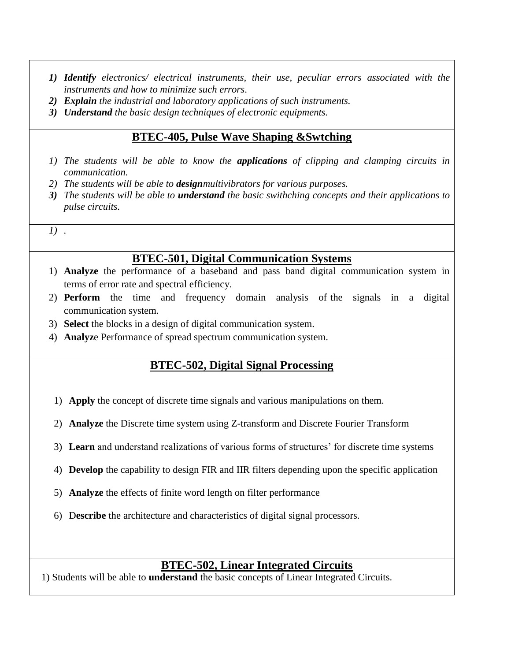- *1) Identify electronics/ electrical instruments, their use, peculiar errors associated with the instruments and how to minimize such errors*.
- *2) Explain the industrial and laboratory applications of such instruments.*
- *3) Understand the basic design techniques of electronic equipments.*

## **BTEC-405, Pulse Wave Shaping &Swtching**

- *1) The students will be able to know the applications of clipping and clamping circuits in communication.*
- *2) The students will be able to designmultivibrators for various purposes.*
- *3) The students will be able to understand the basic swithching concepts and their applications to pulse circuits.*

*1) .*

### **BTEC-501, Digital Communication Systems**

- 1) **Analyze** the performance of a baseband and pass band digital communication system in terms of error rate and spectral efficiency.
- 2) **Perform** the time and frequency domain analysis of the signals in a digital communication system.
- 3) **Select** the blocks in a design of digital communication system.
- 4) **Analyz**e Performance of spread spectrum communication system.

## **BTEC-502, Digital Signal Processing**

- 1) **Apply** the concept of discrete time signals and various manipulations on them.
- 2) **Analyze** the Discrete time system using Z-transform and Discrete Fourier Transform
- 3) **Learn** and understand realizations of various forms of structures' for discrete time systems
- 4) **Develop** the capability to design FIR and IIR filters depending upon the specific application
- 5) **Analyze** the effects of finite word length on filter performance
- 6) D**escribe** the architecture and characteristics of digital signal processors.

## **BTEC-502, Linear Integrated Circuits**

1) Students will be able to **understand** the basic concepts of Linear Integrated Circuits.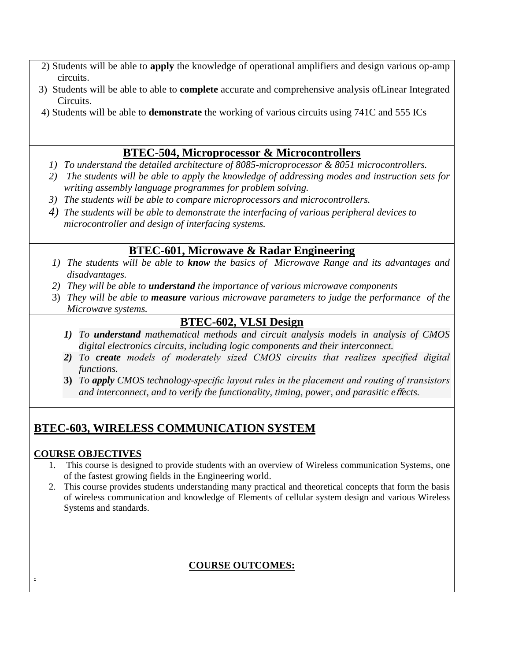- 2) Students will be able to **apply** the knowledge of operational amplifiers and design various op-amp circuits.
- 3) Students will be able to able to **complete** accurate and comprehensive analysis ofLinear Integrated Circuits.
- 4) Students will be able to **demonstrate** the working of various circuits using 741C and 555 ICs

## **BTEC-504, Microprocessor & Microcontrollers**

- *1) To understand the detailed architecture of 8085-microprocessor & 8051 microcontrollers.*
- *2) The students will be able to apply the knowledge of addressing modes and instruction sets for writing assembly language programmes for problem solving.*
- *3) The students will be able to compare microprocessors and microcontrollers.*
- *4) The students will be able to demonstrate the interfacing of various peripheral devices to microcontroller and design of interfacing systems.*

## **BTEC-601, Microwave & Radar Engineering**

- *1) The students will be able to know the basics of Microwave Range and its advantages and disadvantages.*
- *2) They will be able to understand the importance of various microwave components*
- 3) *They will be able to measure various microwave parameters to judge the performance of the Microwave systems.*

### **BTEC-602, VLSI Design**

- *1) To understand mathematical methods and circuit analysis models in analysis of CMOS digital electronics circuits, including logic components and their interconnect.*
- *2) To create models of moderately sized CMOS circuits that realizes specified digital functions.*
- **3)** *To apply CMOS technology-specific layout rules in the placement and routing of transistors and interconnect, and to verify the functionality, timing, power, and parasitic e*ff*ects.*

## **BTEC-603, WIRELESS COMMUNICATION SYSTEM**

### **COURSE OBJECTIVES**

.

- 1. This course is designed to provide students with an overview of Wireless communication Systems, one of the fastest growing fields in the Engineering world.
- 2. This course provides students understanding many practical and theoretical concepts that form the basis of wireless communication and knowledge of Elements of cellular system design and various Wireless Systems and standards.

### **COURSE OUTCOMES:**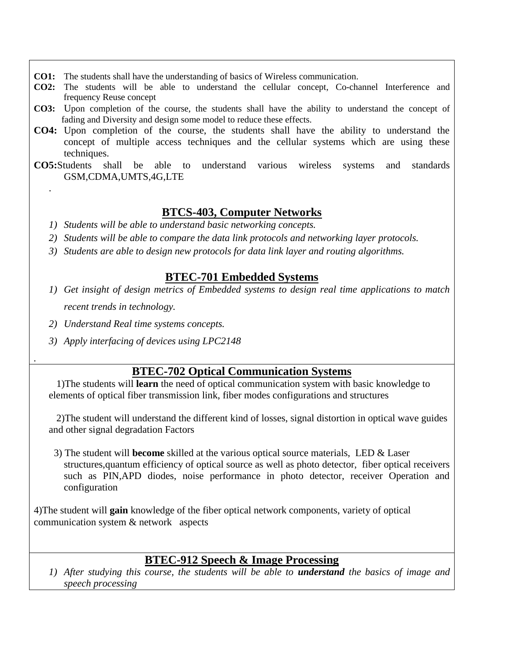- **CO1:** The students shall have the understanding of basics of Wireless communication.
- **CO2:** The students will be able to understand the cellular concept, Co-channel Interference and frequency Reuse concept
- **CO3:** Upon completion of the course, the students shall have the ability to understand the concept of fading and Diversity and design some model to reduce these effects.
- **CO4:** Upon completion of the course, the students shall have the ability to understand the concept of multiple access techniques and the cellular systems which are using these techniques.
- **CO5:**Students shall be able to understand various wireless systems and standards GSM,CDMA,UMTS,4G,LTE

### **BTCS-403, Computer Networks**

- *1) Students will be able to understand basic networking concepts.*
- *2) Students will be able to compare the data link protocols and networking layer protocols.*
- *3) Students are able to design new protocols for data link layer and routing algorithms.*

#### **BTEC-701 Embedded Systems**

- *1) Get insight of design metrics of Embedded systems to design real time applications to match recent trends in technology.*
- *2) Understand Real time systems concepts.*

.

*.*

*3) Apply interfacing of devices using LPC2148*

### **BTEC-702 Optical Communication Systems**

 1)The students will **learn** the need of optical communication system with basic knowledge to elements of optical fiber transmission link, fiber modes configurations and structures

 2)The student will understand the different kind of losses, signal distortion in optical wave guides and other signal degradation Factors

 3) The student will **become** skilled at the various optical source materials, LED & Laser structures,quantum efficiency of optical source as well as photo detector, fiber optical receivers such as PIN,APD diodes, noise performance in photo detector, receiver Operation and configuration

4)The student will **gain** knowledge of the fiber optical network components, variety of optical communication system & network aspects

## **BTEC-912 Speech & Image Processing**

*1) After studying this course, the students will be able to understand the basics of image and speech processing*